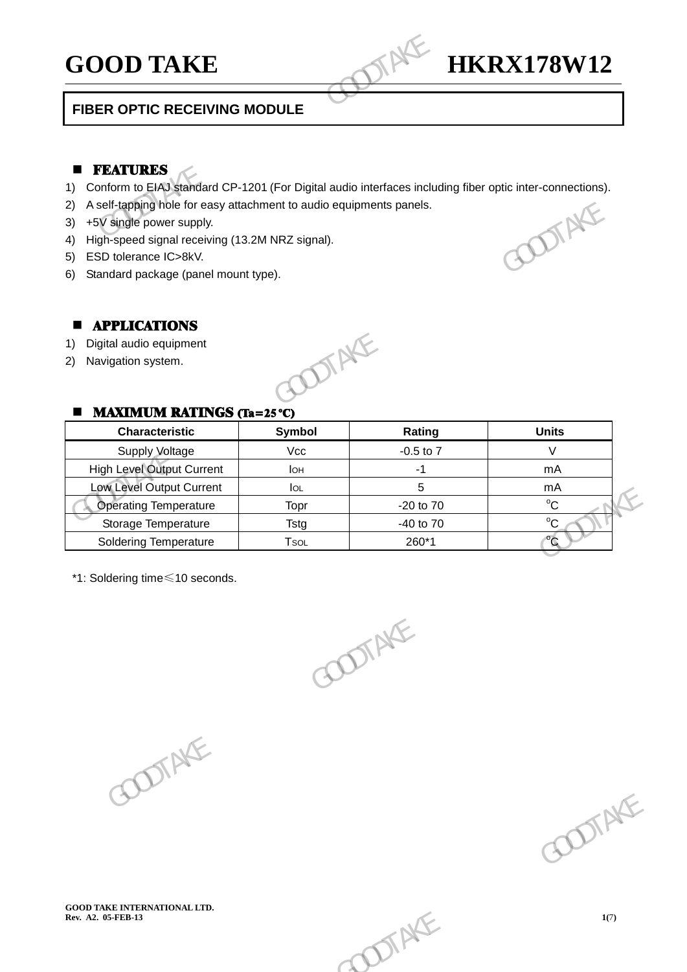## **GOOD TAKE HKRX178W12**

## **FIBER OPTIC RECEIVING MODULE**

### **EXTURES**

-

- 1) Conform to EIAJ standard CP-1201 (For Digital audio interfaces including fiber optic inter-connections).<br>
2) A self-tapping hole for easy attachment to audio equipments panels.<br>
3) +5V single power supply.<br>
4) High-spee GOOD TAKE<br>
FIBER OPTIC RECEIVING MODULE<br>
FIBER OPTIC RECEIVING MODULE<br>
2) Conform to EIAJ standard CP-1201 (For Digital audio interfaces include<br>
2) A self-tapping hole for easy attachment to audio equipments panels.<br>
3) +
	- 2) A self-tapping hole for easy attachment to audio equipments panels.
	- 3) +5V single power supply.
	- 4) High-speed signal receiving (13.2M NRZ signal).
	- 5) ESD tolerance IC>8kV.
	- 6) Standard package (panel mount type).

#### **E** APPLICATIONS

- 1) Digital audio equipment
- 2) Navigation system.

## $MAXIMUM RATINGS (Ta=25°C)$

| <b>APPLICATIONS</b><br>ш                                  |               |                    |                   |
|-----------------------------------------------------------|---------------|--------------------|-------------------|
| Digital audio equipment<br>1)<br>Navigation system.<br>2) | <b>OOTAKE</b> |                    |                   |
| <b>MAXIMUM RATINGS (Ta=25 °C)</b>                         |               |                    |                   |
| <b>Characteristic</b>                                     | <b>Symbol</b> | Rating             | <b>Units</b>      |
| Supply Voltage                                            | Vcc           | $-0.5$ to $7$      | $\vee$            |
| <b>High Level Output Current</b>                          | <b>I</b> OH   | $-1$               | mA                |
| Low Level Output Current                                  | <b>I</b> OL   | 5                  | mA                |
| <b>Operating Temperature</b>                              | Topr          | -20 to 70          | $^{\circ}C$       |
| Storage Temperature<br><b>Soldering Temperature</b>       | Tstg<br>Tsol  | -40 to 70<br>260*1 | $^{\circ}C$<br>°¢ |
| *1: Soldering time < 10 seconds.                          |               |                    |                   |
|                                                           |               | <b>DOTAKE</b>      |                   |



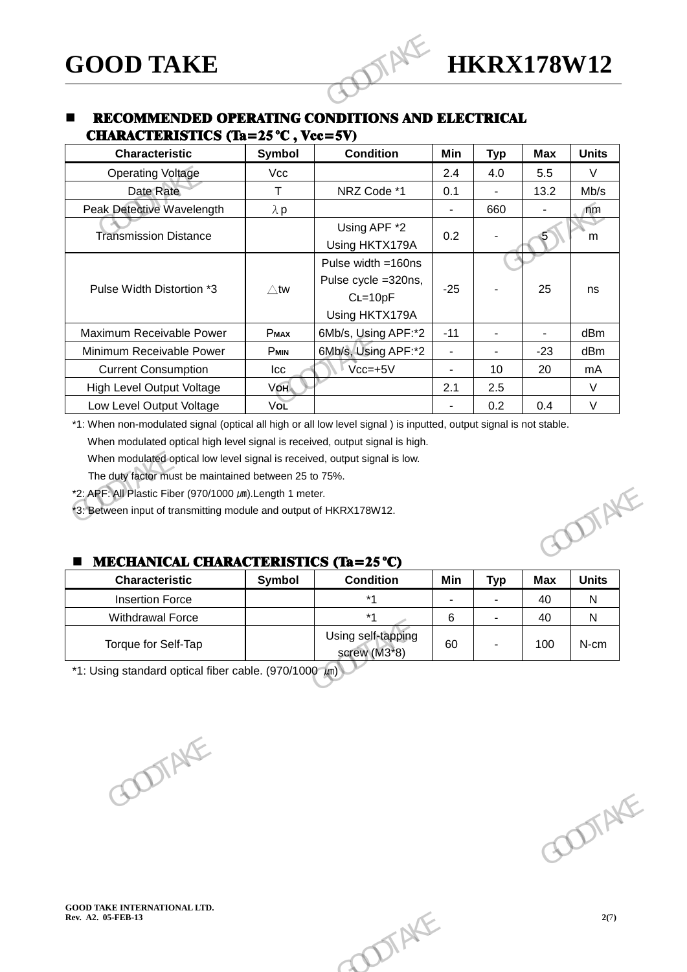# **GOOD TAKE HKRX178W12**

## **E** RECOMMENDED OPERATING CONDITIONS AND ELECTRICAL CHARACTERISTICS (Ta= $25^{\circ}$ C, Vcc=5V)

| <b>GOOD TAKE</b>                                                                                                                                                                                                                                                                                                                                                                                                                                                             |                           |                                                                          |              |            | <b>HKRX178W12</b> |              |
|------------------------------------------------------------------------------------------------------------------------------------------------------------------------------------------------------------------------------------------------------------------------------------------------------------------------------------------------------------------------------------------------------------------------------------------------------------------------------|---------------------------|--------------------------------------------------------------------------|--------------|------------|-------------------|--------------|
| RECOMMENDED OPERATING CONDITIONS AND ELECTRICAL<br><b>CHARACTERISTICS (Ta=25 °C, Vcc=5V)</b>                                                                                                                                                                                                                                                                                                                                                                                 |                           |                                                                          |              |            |                   |              |
| <b>Characteristic</b>                                                                                                                                                                                                                                                                                                                                                                                                                                                        | Symbol                    | <b>Condition</b>                                                         | Min          | <b>Typ</b> | <b>Max</b>        | <b>Units</b> |
| <b>Operating Voltage</b>                                                                                                                                                                                                                                                                                                                                                                                                                                                     | Vcc                       |                                                                          | 2.4          | 4.0        | 5.5               | $\vee$       |
| Date Rate                                                                                                                                                                                                                                                                                                                                                                                                                                                                    | T.                        | NRZ Code *1                                                              | 0.1          |            | 13.2              | Mb/s         |
| Peak Detective Wavelength                                                                                                                                                                                                                                                                                                                                                                                                                                                    | $\lambda$ p               |                                                                          |              | 660        |                   | ⊿m           |
| <b>Transmission Distance</b>                                                                                                                                                                                                                                                                                                                                                                                                                                                 |                           | Using APF *2<br>Using HKTX179A                                           | 0.2          |            |                   | m            |
| Pulse Width Distortion *3                                                                                                                                                                                                                                                                                                                                                                                                                                                    | $\triangle$ tw            | Pulse width =160ns<br>Pulse cycle =320ns,<br>$CL=10pF$<br>Using HKTX179A | $-25$        |            | 25                | ns           |
| Maximum Receivable Power                                                                                                                                                                                                                                                                                                                                                                                                                                                     | <b>PMAX</b>               | 6Mb/s, Using APF:*2                                                      | $-11$        |            | $\sim$            | dBm          |
| Minimum Receivable Power                                                                                                                                                                                                                                                                                                                                                                                                                                                     | PMIN                      | 6Mb/s, Using APF:*2                                                      |              | ÷,         | $-23$             | dBm          |
| <b>Current Consumption</b>                                                                                                                                                                                                                                                                                                                                                                                                                                                   | Icc                       | $\sqrt{C}C = +5V$                                                        |              | 10         | 20                | mA           |
| High Level Output Voltage                                                                                                                                                                                                                                                                                                                                                                                                                                                    | <b>VOH</b>                |                                                                          | 2.1          | 2.5        |                   | V            |
| Low Level Output Voltage                                                                                                                                                                                                                                                                                                                                                                                                                                                     | VoL                       |                                                                          |              | 0.2        | 0.4               | $\vee$       |
| *1: When non-modulated signal (optical all high or all low level signal) is inputted, output signal is not stable.<br>When modulated optical high level signal is received, output signal is high.<br>When modulated optical low level signal is received, output signal is low.<br>The duty factor must be maintained between 25 to 75%.<br>*2: APF: All Plastic Fiber (970/1000 µm). Length 1 meter.<br>*3: Between input of transmitting module and output of HKRX178W12. |                           |                                                                          |              |            |                   |              |
| <b>MECHANICAL CHARACTERISTICS (Ta=25 °C)</b>                                                                                                                                                                                                                                                                                                                                                                                                                                 |                           |                                                                          |              |            |                   |              |
| Ohavaatautatta                                                                                                                                                                                                                                                                                                                                                                                                                                                               | $0 \cdot \text{rank} = 1$ | $O = 4$                                                                  | <b>BRILL</b> | т.         |                   |              |

#### $\blacksquare$  MECHANICAL CHARACTERISTICS (Ta=25 °C)

| <b>MECHANICAL CHARACTERISTICS (Ta=25 °C)</b><br><b>Characteristic</b> | <b>Symbol</b> | <b>Condition</b>                   | Min | <b>Typ</b> | <b>Max</b> | <b>Units</b> |
|-----------------------------------------------------------------------|---------------|------------------------------------|-----|------------|------------|--------------|
| <b>Insertion Force</b>                                                |               | $*_{1}$                            |     |            | 40         | N            |
| <b>Withdrawal Force</b>                                               |               | $*_{1}$                            | 6   |            | 40         | N            |
| Torque for Self-Tap                                                   |               | Using self-tapping<br>screw (M3*8) | 60  |            | 100        | N-cm         |
| *1: Using standard optical fiber cable. (970/1000 \m)<br>TAKE         |               |                                    |     |            |            |              |

DE (970/1000 GOODTAKE)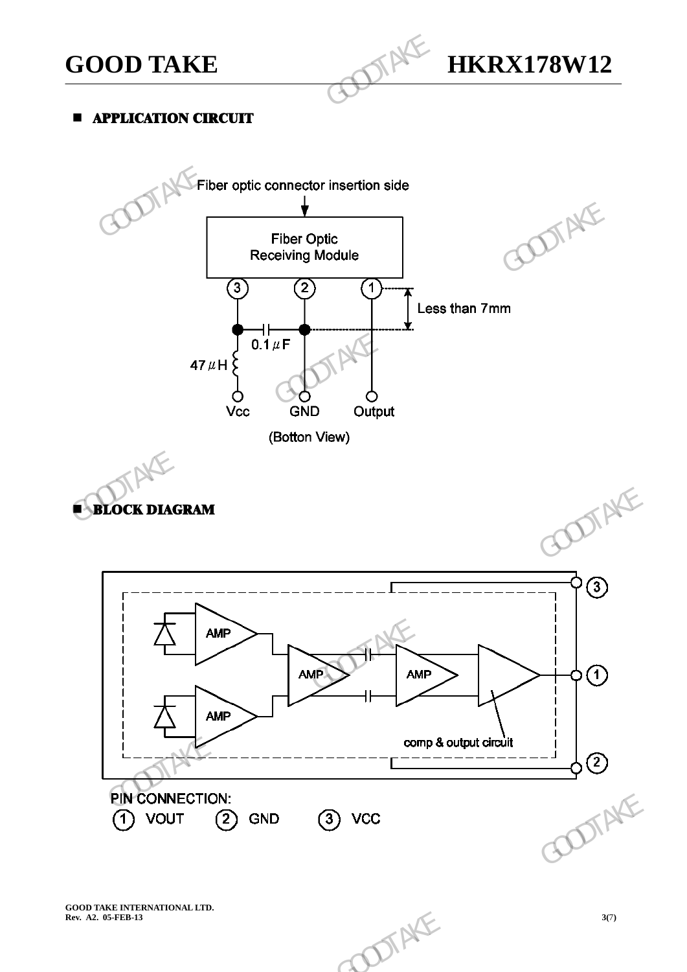-



## **APPLICATION CIRCUIT**



**GOOD TAKE INTERNATIONAL LTD.**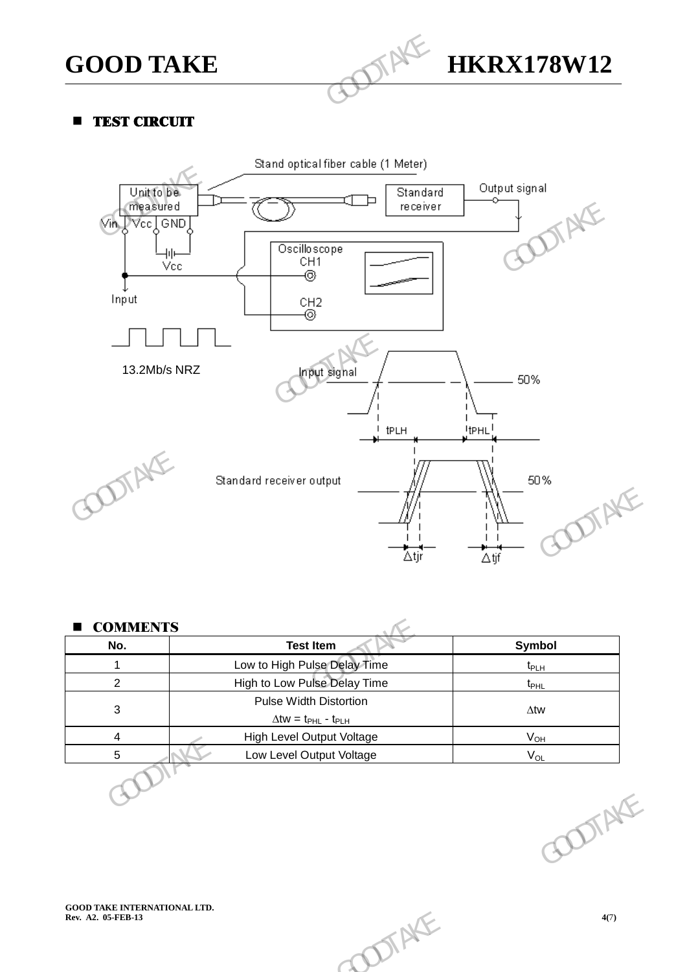

## **E** TEST CIRCUIT

-



|                                                           | ∆tjr                                                                                                                                | $\bigtriangleup$ tjf | TAKE  |
|-----------------------------------------------------------|-------------------------------------------------------------------------------------------------------------------------------------|----------------------|-------|
| <b>COMMENTS</b>                                           |                                                                                                                                     |                      |       |
| No.                                                       | <b>Test Item</b>                                                                                                                    | Symbol               |       |
| $\mathbf{1}$                                              | Low to High Pulse Delay Time                                                                                                        | $t_{PLH}$            |       |
| $\overline{2}$                                            | High to Low Pulse Delay Time                                                                                                        | $t_{\text{PHL}}$     |       |
| $\mathbf{3}$                                              | <b>Pulse Width Distortion</b><br>$\Delta \textnormal{tw} = \textnormal{t}_{\textnormal{PHL}}$ - $\textnormal{t}_{\textnormal{PLH}}$ | $\Delta$ tw          |       |
| $\overline{4}$                                            | High Level Output Voltage                                                                                                           | $V_{OH}$             |       |
| $\overline{5}$                                            | Low Level Output Voltage                                                                                                            | $\rm V_{OL}$         |       |
|                                                           |                                                                                                                                     |                      | DIAKE |
| <b>GOOD TAKE INTERNATIONAL LTD.</b><br>Rev. A2. 05-FEB-13 | DIAKE                                                                                                                               |                      | 4(7)  |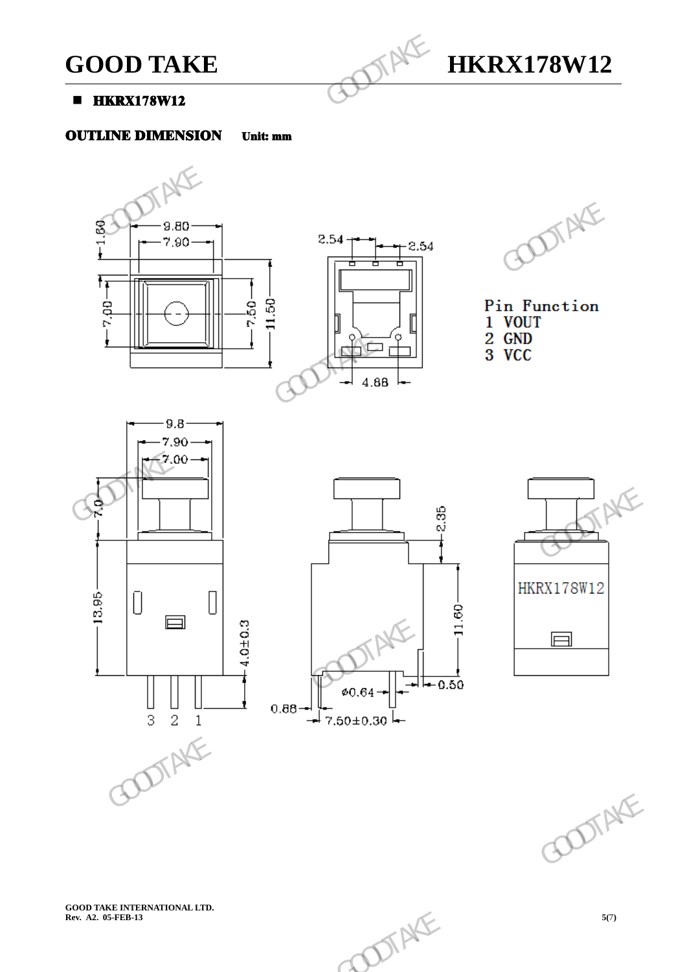

#### $HKNX178W12$

-

OUTLINE DIMENSION Unit: mm



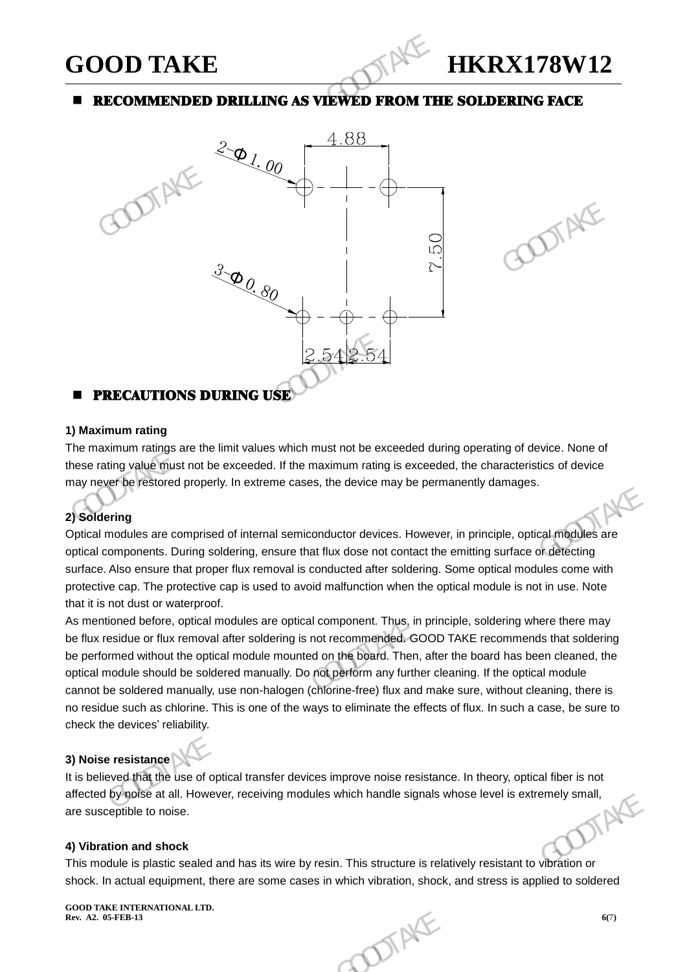-

## GOOD TAKE **HKRX178W12**

### **RECOMMENDED DRILLING AS VIEWED FROM THE SOLDERING FACE**





#### PRECAUTIONS DURING USE

#### **1) Maximum rating**

The maximum ratings are the limit values which must not be exceeded during operating of device. None of these rating value must not be exceeded. If the maximum rating is exceeded, the characteristics of device may never be restored properly. In extreme cases, the device may be permanently damages.

### **2) Soldering**

Optical modules are comprised of internal semiconductor devices. However, in principle, optical modules are optical components. During soldering, ensure that flux dose not contact the emitting surface or detecting surface. Also ensure that proper flux removal is conducted after soldering. Some optical modules come with protective cap. The protective cap is used to avoid malfunction when the optical module is not in use. Note that it is not dust or waterproof.

As mentioned before, optical modules are optical component. Thus, in principle, soldering where there may be flux residue or flux removal after soldering is not recommended. GOOD TAKE recommends that soldering be performed without the optical module mounted on the board. Then, after the board has been cleaned, the optical module should be soldered manually. Do not perform any further cleaning. If the optical module cannot be soldered manually, use non-halogen (chlorine-free) flux and make sure, without cleaning, there is no residue such as chlorine. This is one of the ways to eliminate the effects of flux. In such a case, be sure to check the devices' reliability. **Example 2018**<br>
The propose are comprised of internal semiconductor devices. However, in principle, optical modules are components. During soldering, ensure that flux dose not contact the emitting surface of defecting Also manually. Do not perform any further cleaning. If the optical module<br>on-halogen (chlorine-free) flux and make sure, without cleaning, there is<br>one of the ways to eliminate the effects of flux. In such a case, be sure to<br>on

### **3) Noise resistance**

It is believed that the use of optical transfer devices improve noise resistance. In theory, optical fiber is not affected by noise at all. However, receiving modules which handle signals whose level is extremely small, are susceptible to noise. are susceptible to noise.

#### **4) Vibration and shock**

This module is plastic sealed and has its wire by resin. This structure is relatively resistant to vibration or shock. In actual equipment, there are some cases in which vibration, shock, and stress is applied to soldered

**GOOD TAKE INTERNATIONAL LTD.**